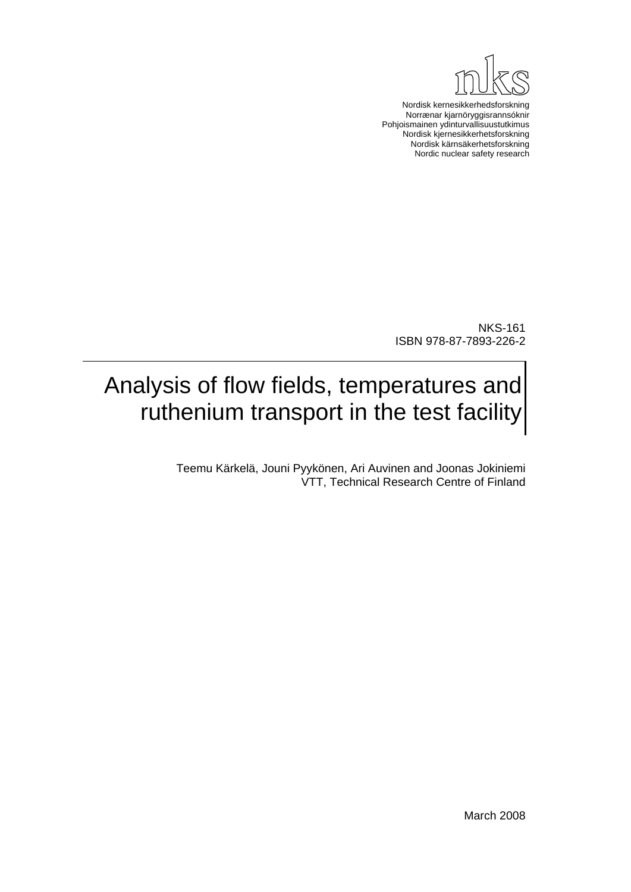

Nordisk kernesikkerhedsforskning Norrænar kjarnöryggisrannsóknir Pohjoismainen ydinturvallisuustutkimus Nordisk kjernesikkerhetsforskning Nordisk kärnsäkerhetsforskning Nordic nuclear safety research

NKS-161 ISBN 978-87-7893-226-2

## Analysis of flow fields, temperatures and ruthenium transport in the test facility

Teemu Kärkelä, Jouni Pyykönen, Ari Auvinen and Joonas Jokiniemi VTT, Technical Research Centre of Finland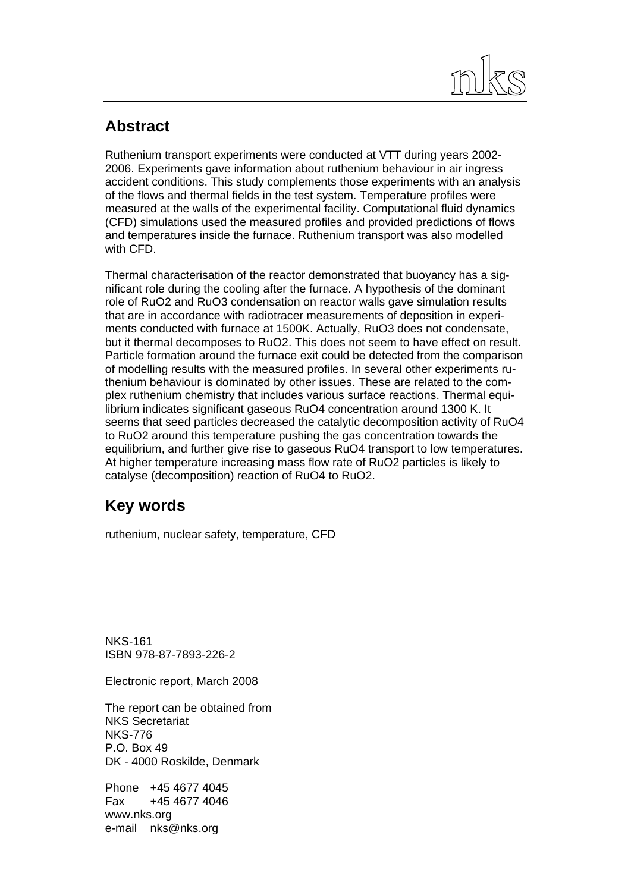

## **Abstract**

Ruthenium transport experiments were conducted at VTT during years 2002- 2006. Experiments gave information about ruthenium behaviour in air ingress accident conditions. This study complements those experiments with an analysis of the flows and thermal fields in the test system. Temperature profiles were measured at the walls of the experimental facility. Computational fluid dynamics (CFD) simulations used the measured profiles and provided predictions of flows and temperatures inside the furnace. Ruthenium transport was also modelled with CFD.

Thermal characterisation of the reactor demonstrated that buoyancy has a significant role during the cooling after the furnace. A hypothesis of the dominant role of RuO2 and RuO3 condensation on reactor walls gave simulation results that are in accordance with radiotracer measurements of deposition in experiments conducted with furnace at 1500K. Actually, RuO3 does not condensate, but it thermal decomposes to RuO2. This does not seem to have effect on result. Particle formation around the furnace exit could be detected from the comparison of modelling results with the measured profiles. In several other experiments ruthenium behaviour is dominated by other issues. These are related to the complex ruthenium chemistry that includes various surface reactions. Thermal equilibrium indicates significant gaseous RuO4 concentration around 1300 K. It seems that seed particles decreased the catalytic decomposition activity of RuO4 to RuO2 around this temperature pushing the gas concentration towards the equilibrium, and further give rise to gaseous RuO4 transport to low temperatures. At higher temperature increasing mass flow rate of RuO2 particles is likely to catalyse (decomposition) reaction of RuO4 to RuO2.

## **Key words**

ruthenium, nuclear safety, temperature, CFD

NKS-161 ISBN 978-87-7893-226-2

Electronic report, March 2008

The report can be obtained from NKS Secretariat NKS-776 P.O. Box 49 DK - 4000 Roskilde, Denmark

Phone +45 4677 4045 Fax +45 4677 4046 www.nks.org e-mail nks@nks.org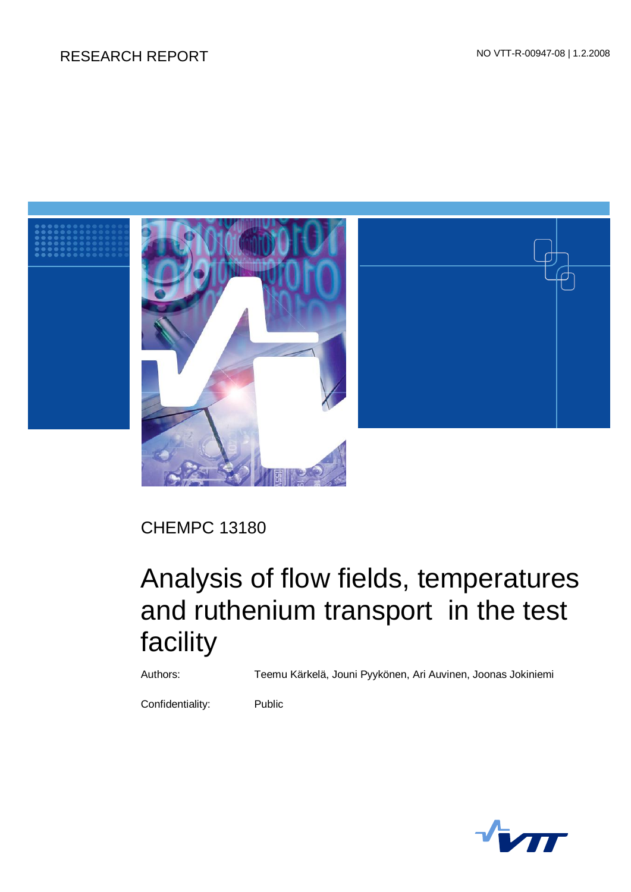## RESEARCH REPORT NO VTT-R-00947-08 | 1.2.2008



CHEMPC 13180

# Analysis of flow fields, temperatures and ruthenium transport in the test facility

Authors: Teemu Kärkelä, Jouni Pyykönen, Ari Auvinen, Joonas Jokiniemi

Confidentiality: Public

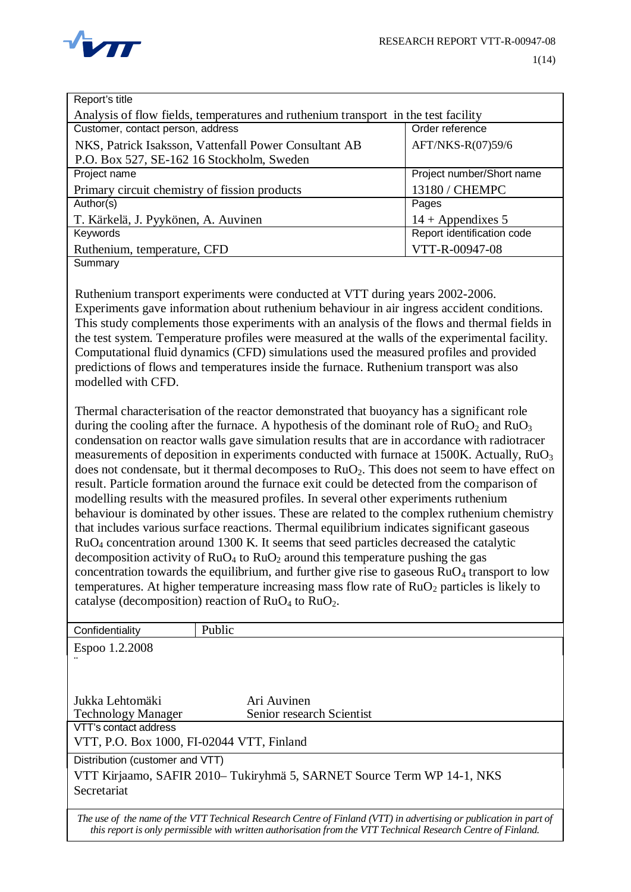

| Report's title                                                                     |                            |  |  |  |  |  |
|------------------------------------------------------------------------------------|----------------------------|--|--|--|--|--|
| Analysis of flow fields, temperatures and ruthenium transport in the test facility |                            |  |  |  |  |  |
| Customer, contact person, address                                                  | Order reference            |  |  |  |  |  |
| NKS, Patrick Isaksson, Vattenfall Power Consultant AB                              | AFT/NKS-R(07)59/6          |  |  |  |  |  |
| P.O. Box 527, SE-162 16 Stockholm, Sweden                                          |                            |  |  |  |  |  |
| Project name                                                                       | Project number/Short name  |  |  |  |  |  |
| Primary circuit chemistry of fission products                                      | 13180 / CHEMPC             |  |  |  |  |  |
| Author(s)                                                                          | Pages                      |  |  |  |  |  |
| T. Kärkelä, J. Pyykönen, A. Auvinen                                                | $14 +$ Appendixes 5        |  |  |  |  |  |
| Keywords                                                                           | Report identification code |  |  |  |  |  |
| Ruthenium, temperature, CFD                                                        | VTT-R-00947-08             |  |  |  |  |  |
| Summary                                                                            |                            |  |  |  |  |  |

Ruthenium transport experiments were conducted at VTT during years 2002-2006. Experiments gave information about ruthenium behaviour in air ingress accident conditions. This study complements those experiments with an analysis of the flows and thermal fields in the test system. Temperature profiles were measured at the walls of the experimental facility. Computational fluid dynamics (CFD) simulations used the measured profiles and provided predictions of flows and temperatures inside the furnace. Ruthenium transport was also modelled with CFD.

Thermal characterisation of the reactor demonstrated that buoyancy has a significant role during the cooling after the furnace. A hypothesis of the dominant role of  $RuO<sub>2</sub>$  and  $RuO<sub>3</sub>$ condensation on reactor walls gave simulation results that are in accordance with radiotracer measurements of deposition in experiments conducted with furnace at 1500K. Actually, RuO<sub>3</sub> does not condensate, but it thermal decomposes to  $RuO<sub>2</sub>$ . This does not seem to have effect on result. Particle formation around the furnace exit could be detected from the comparison of modelling results with the measured profiles. In several other experiments ruthenium behaviour is dominated by other issues. These are related to the complex ruthenium chemistry that includes various surface reactions. Thermal equilibrium indicates significant gaseous RuO4 concentration around 1300 K. It seems that seed particles decreased the catalytic decomposition activity of  $RuO<sub>4</sub>$  to  $RuO<sub>2</sub>$  around this temperature pushing the gas concentration towards the equilibrium, and further give rise to gaseous  $RuO<sub>4</sub>$  transport to low temperatures. At higher temperature increasing mass flow rate of  $RuO<sub>2</sub>$  particles is likely to catalyse (decomposition) reaction of  $RuO<sub>4</sub>$  to  $RuO<sub>2</sub>$ .

| Confidentiality                                                        | Public                                                                                                                                                                                                                              |  |  |  |
|------------------------------------------------------------------------|-------------------------------------------------------------------------------------------------------------------------------------------------------------------------------------------------------------------------------------|--|--|--|
| Espoo 1.2.2008                                                         |                                                                                                                                                                                                                                     |  |  |  |
|                                                                        |                                                                                                                                                                                                                                     |  |  |  |
|                                                                        |                                                                                                                                                                                                                                     |  |  |  |
|                                                                        |                                                                                                                                                                                                                                     |  |  |  |
| Jukka Lehtomäki                                                        | Ari Auvinen                                                                                                                                                                                                                         |  |  |  |
| <b>Technology Manager</b>                                              | Senior research Scientist                                                                                                                                                                                                           |  |  |  |
| VTT's contact address                                                  |                                                                                                                                                                                                                                     |  |  |  |
| VTT, P.O. Box 1000, FI-02044 VTT, Finland                              |                                                                                                                                                                                                                                     |  |  |  |
| Distribution (customer and VTT)                                        |                                                                                                                                                                                                                                     |  |  |  |
| VTT Kirjaamo, SAFIR 2010– Tukiryhmä 5, SARNET Source Term WP 14-1, NKS |                                                                                                                                                                                                                                     |  |  |  |
| Secretariat                                                            |                                                                                                                                                                                                                                     |  |  |  |
|                                                                        |                                                                                                                                                                                                                                     |  |  |  |
|                                                                        | The use of the name of the VTT Technical Research Centre of Finland (VTT) in advertising or publication in part of<br>this report is only permissible with written authorisation from the VTT Technical Research Centre of Finland. |  |  |  |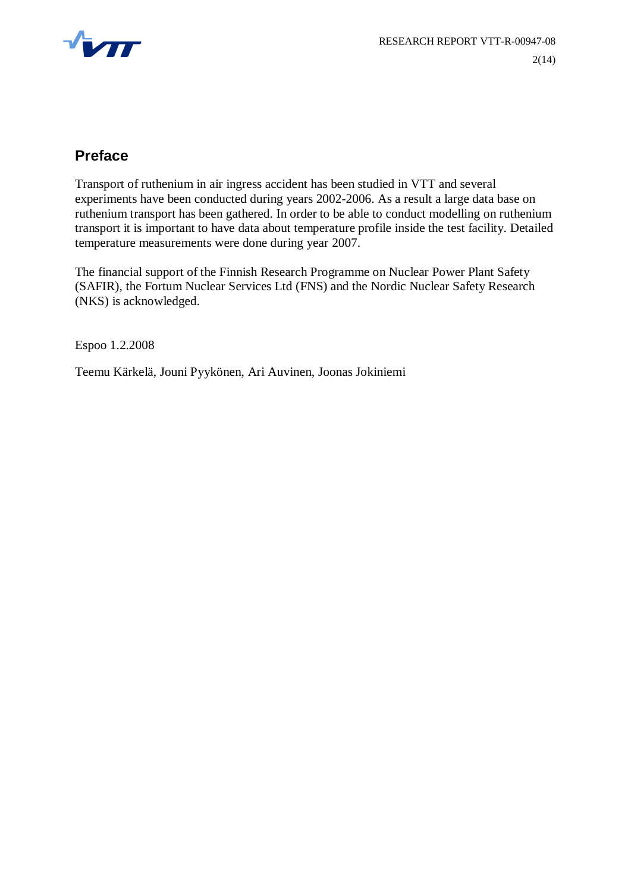

### **Preface**

Transport of ruthenium in air ingress accident has been studied in VTT and several experiments have been conducted during years 2002-2006. As a result a large data base on ruthenium transport has been gathered. In order to be able to conduct modelling on ruthenium transport it is important to have data about temperature profile inside the test facility. Detailed temperature measurements were done during year 2007.

The financial support of the Finnish Research Programme on Nuclear Power Plant Safety (SAFIR), the Fortum Nuclear Services Ltd (FNS) and the Nordic Nuclear Safety Research (NKS) is acknowledged.

Espoo 1.2.2008

Teemu Kärkelä, Jouni Pyykönen, Ari Auvinen, Joonas Jokiniemi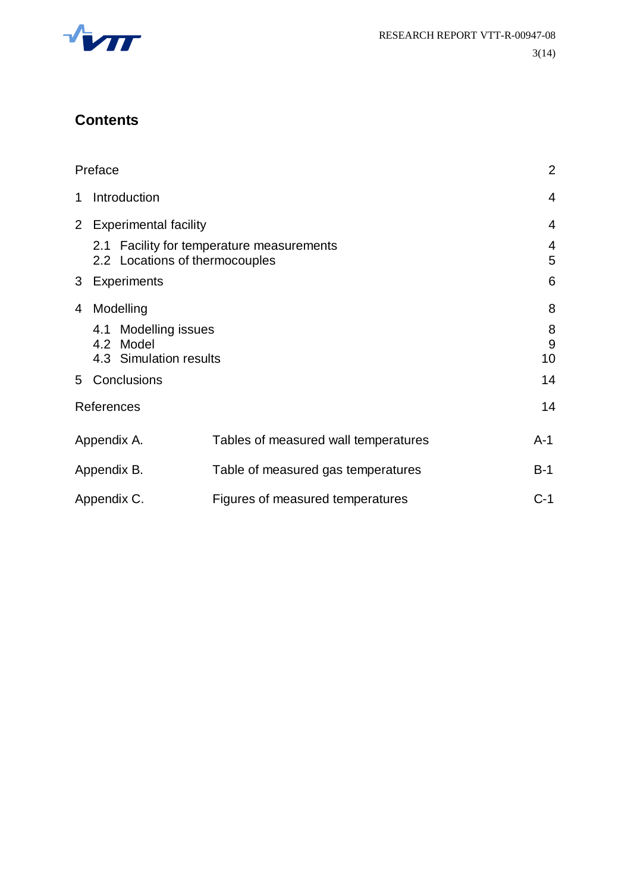

## **Contents**

|   | Preface                                                     |                                           | $\overline{2}$ |
|---|-------------------------------------------------------------|-------------------------------------------|----------------|
| 1 | Introduction                                                |                                           | $\overline{4}$ |
|   | 2 Experimental facility                                     |                                           | $\overline{4}$ |
|   | 2.2 Locations of thermocouples                              | 2.1 Facility for temperature measurements | 4<br>5         |
| 3 | <b>Experiments</b>                                          |                                           | 6              |
| 4 | Modelling                                                   |                                           | 8              |
|   | 4.1 Modelling issues<br>4.2 Model<br>4.3 Simulation results |                                           | 8<br>9<br>10   |
|   | 5 Conclusions                                               |                                           | 14             |
|   | References                                                  |                                           | 14             |
|   | Appendix A.                                                 | Tables of measured wall temperatures      | A-1            |
|   | Appendix B.                                                 | Table of measured gas temperatures        | $B-1$          |
|   | Appendix C.                                                 | Figures of measured temperatures          | $C-1$          |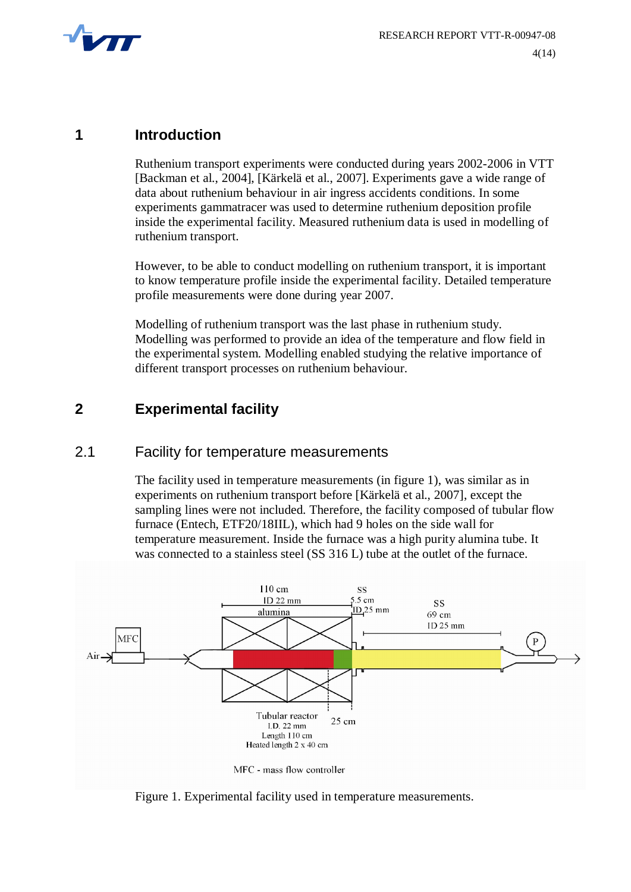

#### **1 Introduction**

Ruthenium transport experiments were conducted during years 2002-2006 in VTT [Backman et al., 2004], [Kärkelä et al., 2007]. Experiments gave a wide range of data about ruthenium behaviour in air ingress accidents conditions. In some experiments gammatracer was used to determine ruthenium deposition profile inside the experimental facility. Measured ruthenium data is used in modelling of ruthenium transport.

However, to be able to conduct modelling on ruthenium transport, it is important to know temperature profile inside the experimental facility. Detailed temperature profile measurements were done during year 2007.

Modelling of ruthenium transport was the last phase in ruthenium study. Modelling was performed to provide an idea of the temperature and flow field in the experimental system. Modelling enabled studying the relative importance of different transport processes on ruthenium behaviour.

### **2 Experimental facility**

#### 2.1 Facility for temperature measurements

The facility used in temperature measurements (in figure 1), was similar as in experiments on ruthenium transport before [Kärkelä et al., 2007], except the sampling lines were not included. Therefore, the facility composed of tubular flow furnace (Entech, ETF20/18IIL), which had 9 holes on the side wall for temperature measurement. Inside the furnace was a high purity alumina tube. It was connected to a stainless steel (SS 316 L) tube at the outlet of the furnace.



MFC - mass flow controller

Figure 1. Experimental facility used in temperature measurements.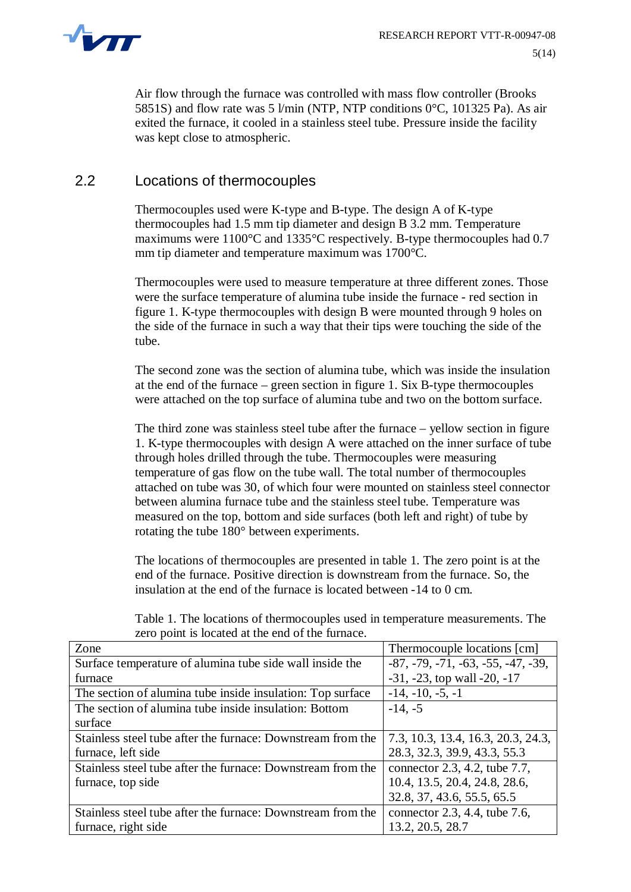

Air flow through the furnace was controlled with mass flow controller (Brooks 5851S) and flow rate was 5 l/min (NTP, NTP conditions  $0^{\circ}$ C, 101325 Pa). As air exited the furnace, it cooled in a stainless steel tube. Pressure inside the facility was kept close to atmospheric.

#### 2.2 Locations of thermocouples

Thermocouples used were K-type and B-type. The design A of K-type thermocouples had 1.5 mm tip diameter and design B 3.2 mm. Temperature maximums were 1100°C and 1335°C respectively. B-type thermocouples had 0.7 mm tip diameter and temperature maximum was 1700°C.

Thermocouples were used to measure temperature at three different zones. Those were the surface temperature of alumina tube inside the furnace - red section in figure 1. K-type thermocouples with design B were mounted through 9 holes on the side of the furnace in such a way that their tips were touching the side of the tube.

The second zone was the section of alumina tube, which was inside the insulation at the end of the furnace – green section in figure 1. Six B-type thermocouples were attached on the top surface of alumina tube and two on the bottom surface.

The third zone was stainless steel tube after the furnace – yellow section in figure 1. K-type thermocouples with design A were attached on the inner surface of tube through holes drilled through the tube. Thermocouples were measuring temperature of gas flow on the tube wall. The total number of thermocouples attached on tube was 30, of which four were mounted on stainless steel connector between alumina furnace tube and the stainless steel tube. Temperature was measured on the top, bottom and side surfaces (both left and right) of tube by rotating the tube 180° between experiments.

The locations of thermocouples are presented in table 1. The zero point is at the end of the furnace. Positive direction is downstream from the furnace. So, the insulation at the end of the furnace is located between -14 to 0 cm.

| Zone                                                        | Thermocouple locations [cm]          |
|-------------------------------------------------------------|--------------------------------------|
| Surface temperature of alumina tube side wall inside the    | $-87, -79, -71, -63, -55, -47, -39,$ |
| furnace                                                     | $-31, -23$ , top wall $-20, -17$     |
| The section of alumina tube inside insulation: Top surface  | $-14, -10, -5, -1$                   |
| The section of alumina tube inside insulation: Bottom       | $-14, -5$                            |
| surface                                                     |                                      |
| Stainless steel tube after the furnace: Downstream from the | 7.3, 10.3, 13.4, 16.3, 20.3, 24.3,   |
| furnace, left side                                          | 28.3, 32.3, 39.9, 43.3, 55.3         |
| Stainless steel tube after the furnace: Downstream from the | connector 2.3, 4.2, tube 7.7,        |
| furnace, top side                                           | 10.4, 13.5, 20.4, 24.8, 28.6,        |
|                                                             | 32.8, 37, 43.6, 55.5, 65.5           |
| Stainless steel tube after the furnace: Downstream from the | connector 2.3, 4.4, tube 7.6,        |
| furnace, right side                                         | 13.2, 20.5, 28.7                     |

Table 1. The locations of thermocouples used in temperature measurements. The zero point is located at the end of the furnace.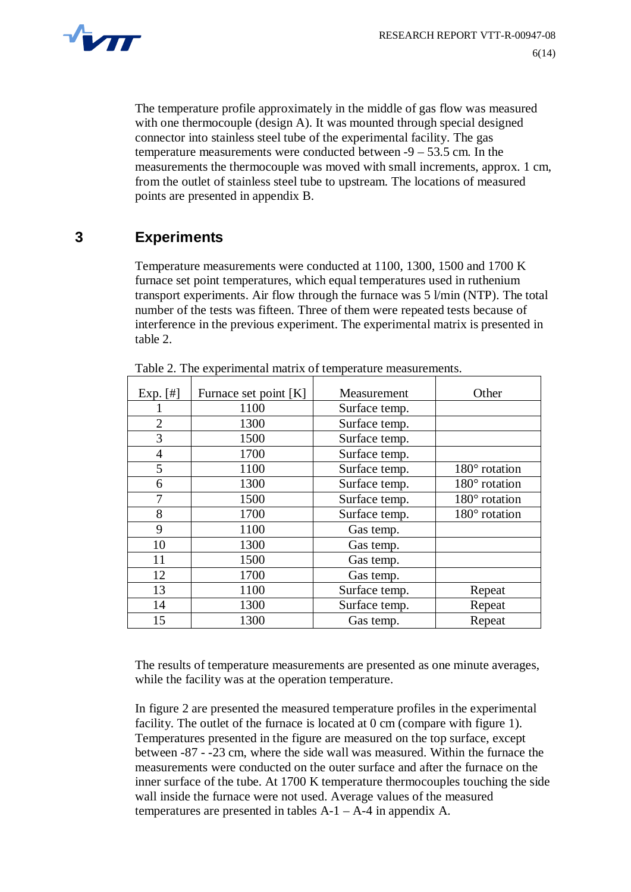

The temperature profile approximately in the middle of gas flow was measured with one thermocouple (design A). It was mounted through special designed connector into stainless steel tube of the experimental facility. The gas temperature measurements were conducted between -9 – 53.5 cm. In the measurements the thermocouple was moved with small increments, approx. 1 cm, from the outlet of stainless steel tube to upstream. The locations of measured points are presented in appendix B.

### **3 Experiments**

Temperature measurements were conducted at 1100, 1300, 1500 and 1700 K furnace set point temperatures, which equal temperatures used in ruthenium transport experiments. Air flow through the furnace was 5 l/min (NTP). The total number of the tests was fifteen. Three of them were repeated tests because of interference in the previous experiment. The experimental matrix is presented in table 2.

| Exp. $[#]$     | Furnace set point [K] | Measurement   | Other                |
|----------------|-----------------------|---------------|----------------------|
|                | 1100                  | Surface temp. |                      |
| $\overline{2}$ | 1300                  | Surface temp. |                      |
| 3              | 1500                  | Surface temp. |                      |
| 4              | 1700                  | Surface temp. |                      |
| 5              | 1100                  | Surface temp. | $180^\circ$ rotation |
| 6              | 1300                  | Surface temp. | $180^\circ$ rotation |
| 7              | 1500                  | Surface temp. | $180^\circ$ rotation |
| 8              | 1700                  | Surface temp. | $180^\circ$ rotation |
| 9              | 1100                  | Gas temp.     |                      |
| 10             | 1300                  | Gas temp.     |                      |
| 11             | 1500                  | Gas temp.     |                      |
| 12             | 1700                  | Gas temp.     |                      |
| 13             | 1100                  | Surface temp. | Repeat               |
| 14             | 1300                  | Surface temp. | Repeat               |
| 15             | 1300                  | Gas temp.     | Repeat               |

| Table 2. The experimental matrix of temperature measurements. |
|---------------------------------------------------------------|
|---------------------------------------------------------------|

The results of temperature measurements are presented as one minute averages, while the facility was at the operation temperature.

In figure 2 are presented the measured temperature profiles in the experimental facility. The outlet of the furnace is located at 0 cm (compare with figure 1). Temperatures presented in the figure are measured on the top surface, except between -87 - -23 cm, where the side wall was measured. Within the furnace the measurements were conducted on the outer surface and after the furnace on the inner surface of the tube. At 1700 K temperature thermocouples touching the side wall inside the furnace were not used. Average values of the measured temperatures are presented in tables  $A-1 - A-4$  in appendix A.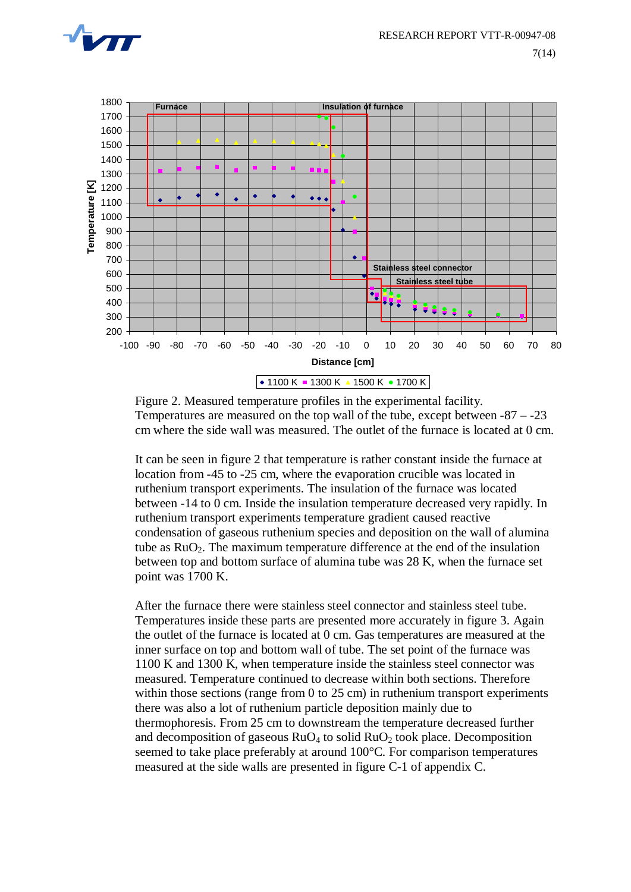



Figure 2. Measured temperature profiles in the experimental facility. Temperatures are measured on the top wall of the tube, except between -87 – -23 cm where the side wall was measured. The outlet of the furnace is located at 0 cm.

It can be seen in figure 2 that temperature is rather constant inside the furnace at location from -45 to -25 cm, where the evaporation crucible was located in ruthenium transport experiments. The insulation of the furnace was located between -14 to 0 cm. Inside the insulation temperature decreased very rapidly. In ruthenium transport experiments temperature gradient caused reactive condensation of gaseous ruthenium species and deposition on the wall of alumina tube as  $RuO<sub>2</sub>$ . The maximum temperature difference at the end of the insulation between top and bottom surface of alumina tube was 28 K, when the furnace set point was 1700 K.

After the furnace there were stainless steel connector and stainless steel tube. Temperatures inside these parts are presented more accurately in figure 3. Again the outlet of the furnace is located at 0 cm. Gas temperatures are measured at the inner surface on top and bottom wall of tube. The set point of the furnace was 1100 K and 1300 K, when temperature inside the stainless steel connector was measured. Temperature continued to decrease within both sections. Therefore within those sections (range from 0 to 25 cm) in ruthenium transport experiments there was also a lot of ruthenium particle deposition mainly due to thermophoresis. From 25 cm to downstream the temperature decreased further and decomposition of gaseous  $RuO<sub>4</sub>$  to solid  $RuO<sub>2</sub>$  took place. Decomposition seemed to take place preferably at around 100°C. For comparison temperatures measured at the side walls are presented in figure C-1 of appendix C.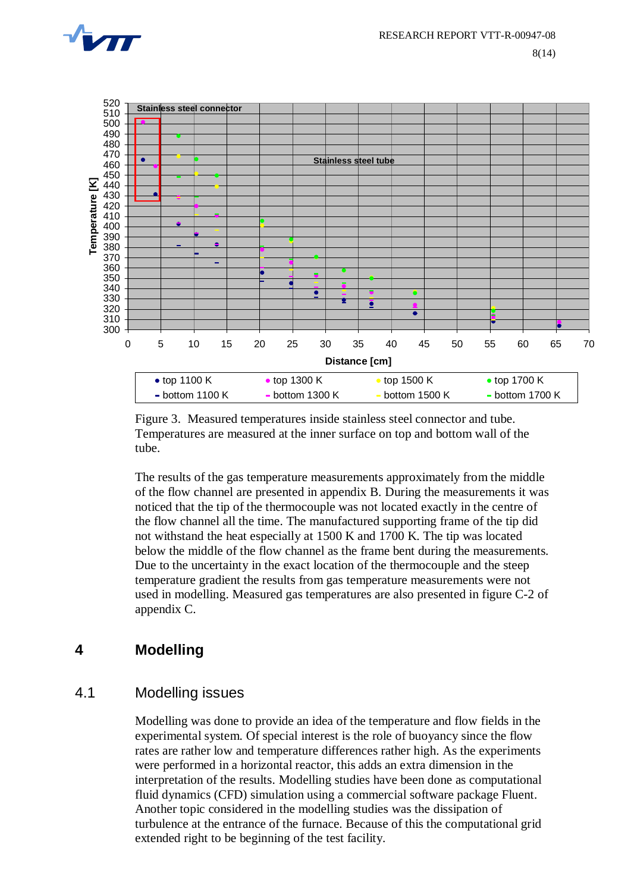



Figure 3. Measured temperatures inside stainless steel connector and tube. Temperatures are measured at the inner surface on top and bottom wall of the tube.

The results of the gas temperature measurements approximately from the middle of the flow channel are presented in appendix B. During the measurements it was noticed that the tip of the thermocouple was not located exactly in the centre of the flow channel all the time. The manufactured supporting frame of the tip did not withstand the heat especially at 1500 K and 1700 K. The tip was located below the middle of the flow channel as the frame bent during the measurements. Due to the uncertainty in the exact location of the thermocouple and the steep temperature gradient the results from gas temperature measurements were not used in modelling. Measured gas temperatures are also presented in figure C-2 of appendix C.

#### **4 Modelling**

#### 4.1 Modelling issues

Modelling was done to provide an idea of the temperature and flow fields in the experimental system. Of special interest is the role of buoyancy since the flow rates are rather low and temperature differences rather high. As the experiments were performed in a horizontal reactor, this adds an extra dimension in the interpretation of the results. Modelling studies have been done as computational fluid dynamics (CFD) simulation using a commercial software package Fluent. Another topic considered in the modelling studies was the dissipation of turbulence at the entrance of the furnace. Because of this the computational grid extended right to be beginning of the test facility.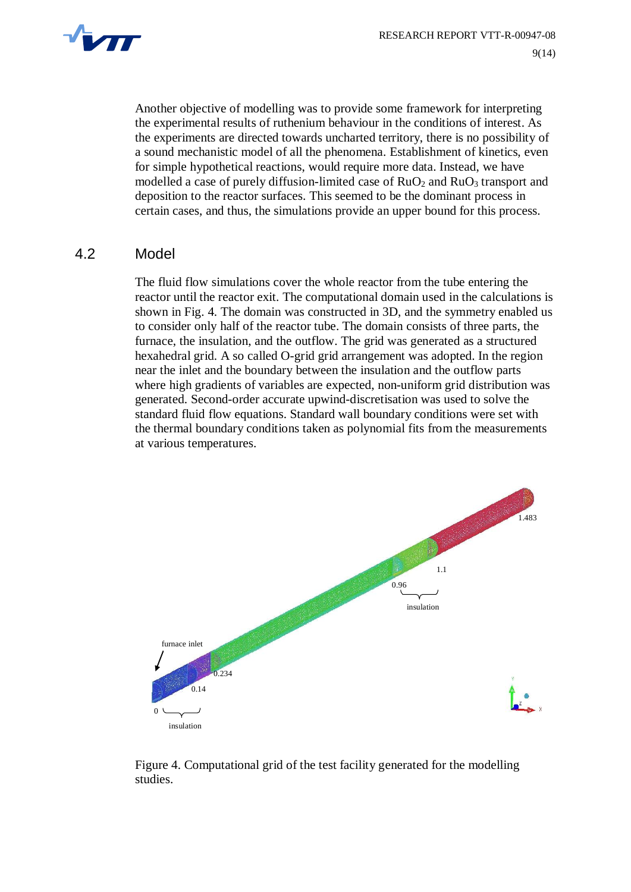

Another objective of modelling was to provide some framework for interpreting the experimental results of ruthenium behaviour in the conditions of interest. As the experiments are directed towards uncharted territory, there is no possibility of a sound mechanistic model of all the phenomena. Establishment of kinetics, even for simple hypothetical reactions, would require more data. Instead, we have modelled a case of purely diffusion-limited case of  $RuO<sub>2</sub>$  and  $RuO<sub>3</sub>$  transport and deposition to the reactor surfaces. This seemed to be the dominant process in certain cases, and thus, the simulations provide an upper bound for this process.

#### 4.2 Model

The fluid flow simulations cover the whole reactor from the tube entering the reactor until the reactor exit. The computational domain used in the calculations is shown in Fig. 4. The domain was constructed in 3D, and the symmetry enabled us to consider only half of the reactor tube. The domain consists of three parts, the furnace, the insulation, and the outflow. The grid was generated as a structured hexahedral grid. A so called O-grid grid arrangement was adopted. In the region near the inlet and the boundary between the insulation and the outflow parts where high gradients of variables are expected, non-uniform grid distribution was generated. Second-order accurate upwind-discretisation was used to solve the standard fluid flow equations. Standard wall boundary conditions were set with the thermal boundary conditions taken as polynomial fits from the measurements at various temperatures.



Figure 4. Computational grid of the test facility generated for the modelling studies.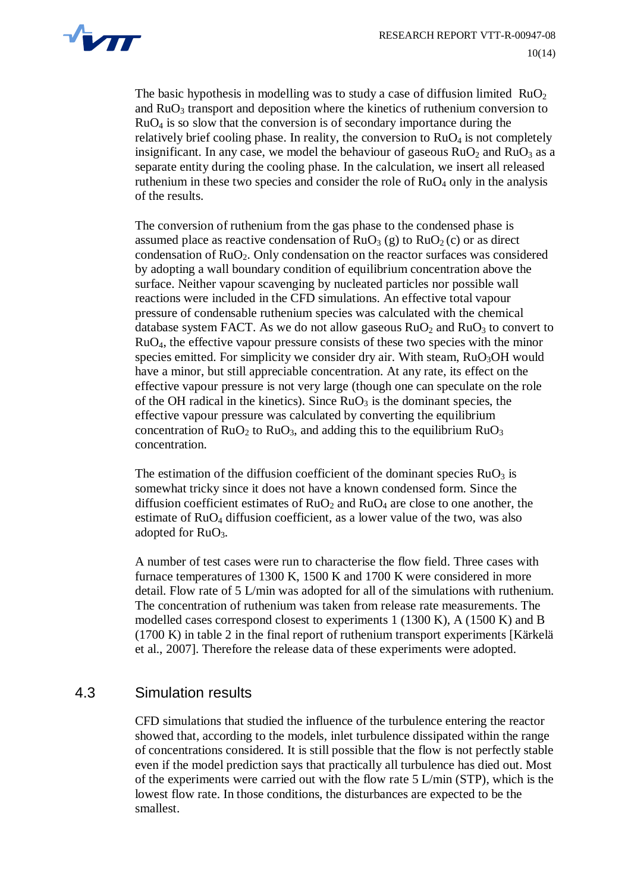

The basic hypothesis in modelling was to study a case of diffusion limited  $RuO<sub>2</sub>$ and RuO3 transport and deposition where the kinetics of ruthenium conversion to RuO4 is so slow that the conversion is of secondary importance during the relatively brief cooling phase. In reality, the conversion to  $RuO<sub>4</sub>$  is not completely insignificant. In any case, we model the behaviour of gaseous  $RuO<sub>2</sub>$  and  $RuO<sub>3</sub>$  as a separate entity during the cooling phase. In the calculation, we insert all released ruthenium in these two species and consider the role of  $RuO<sub>4</sub>$  only in the analysis of the results.

The conversion of ruthenium from the gas phase to the condensed phase is assumed place as reactive condensation of  $RuO<sub>3</sub>(g)$  to  $RuO<sub>2</sub>(c)$  or as direct condensation of  $RuO<sub>2</sub>$ . Only condensation on the reactor surfaces was considered by adopting a wall boundary condition of equilibrium concentration above the surface. Neither vapour scavenging by nucleated particles nor possible wall reactions were included in the CFD simulations. An effective total vapour pressure of condensable ruthenium species was calculated with the chemical database system FACT. As we do not allow gaseous  $RuO<sub>2</sub>$  and  $RuO<sub>3</sub>$  to convert to RuO4, the effective vapour pressure consists of these two species with the minor species emitted. For simplicity we consider dry air. With steam,  $RuO<sub>3</sub>OH$  would have a minor, but still appreciable concentration. At any rate, its effect on the effective vapour pressure is not very large (though one can speculate on the role of the OH radical in the kinetics). Since  $RuO<sub>3</sub>$  is the dominant species, the effective vapour pressure was calculated by converting the equilibrium concentration of  $RuO<sub>2</sub>$  to  $RuO<sub>3</sub>$ , and adding this to the equilibrium  $RuO<sub>3</sub>$ concentration.

The estimation of the diffusion coefficient of the dominant species  $RuO<sub>3</sub>$  is somewhat tricky since it does not have a known condensed form. Since the diffusion coefficient estimates of  $RuO<sub>2</sub>$  and  $RuO<sub>4</sub>$  are close to one another, the estimate of RuO4 diffusion coefficient, as a lower value of the two, was also adopted for  $RuO<sub>3</sub>$ .

A number of test cases were run to characterise the flow field. Three cases with furnace temperatures of 1300 K, 1500 K and 1700 K were considered in more detail. Flow rate of 5 L/min was adopted for all of the simulations with ruthenium. The concentration of ruthenium was taken from release rate measurements. The modelled cases correspond closest to experiments 1 (1300 K), A (1500 K) and B (1700 K) in table 2 in the final report of ruthenium transport experiments [Kärkelä et al., 2007]. Therefore the release data of these experiments were adopted.

#### 4.3 Simulation results

CFD simulations that studied the influence of the turbulence entering the reactor showed that, according to the models, inlet turbulence dissipated within the range of concentrations considered. It is still possible that the flow is not perfectly stable even if the model prediction says that practically all turbulence has died out. Most of the experiments were carried out with the flow rate 5 L/min (STP), which is the lowest flow rate. In those conditions, the disturbances are expected to be the smallest.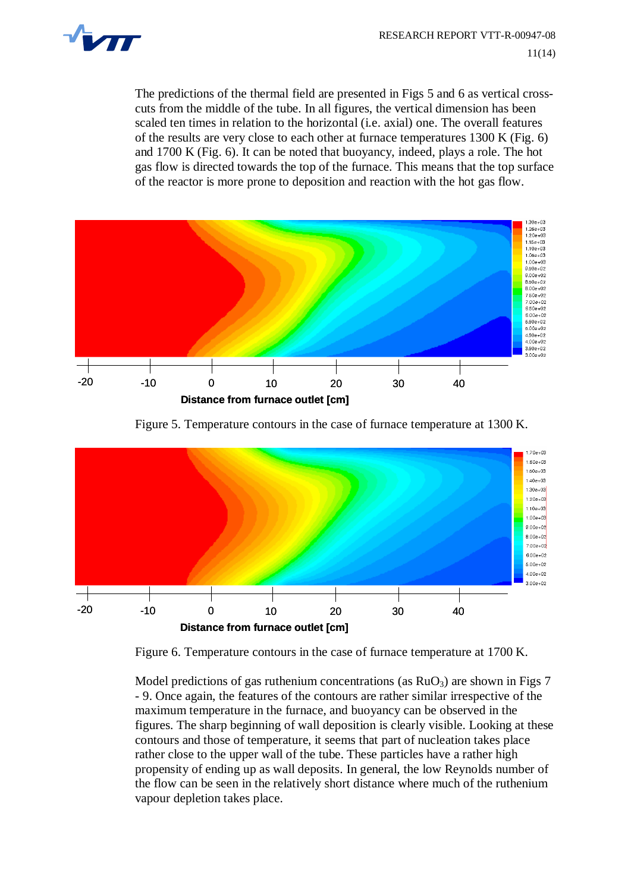

The predictions of the thermal field are presented in Figs 5 and 6 as vertical crosscuts from the middle of the tube. In all figures, the vertical dimension has been scaled ten times in relation to the horizontal (i.e. axial) one. The overall features of the results are very close to each other at furnace temperatures 1300 K (Fig. 6) and 1700 K (Fig. 6). It can be noted that buoyancy, indeed, plays a role. The hot gas flow is directed towards the top of the furnace. This means that the top surface of the reactor is more prone to deposition and reaction with the hot gas flow.



Figure 5. Temperature contours in the case of furnace temperature at 1300 K.



Figure 6. Temperature contours in the case of furnace temperature at 1700 K.

Model predictions of gas ruthenium concentrations (as  $RuO<sub>3</sub>$ ) are shown in Figs 7 - 9. Once again, the features of the contours are rather similar irrespective of the maximum temperature in the furnace, and buoyancy can be observed in the figures. The sharp beginning of wall deposition is clearly visible. Looking at these contours and those of temperature, it seems that part of nucleation takes place rather close to the upper wall of the tube. These particles have a rather high propensity of ending up as wall deposits. In general, the low Reynolds number of the flow can be seen in the relatively short distance where much of the ruthenium vapour depletion takes place.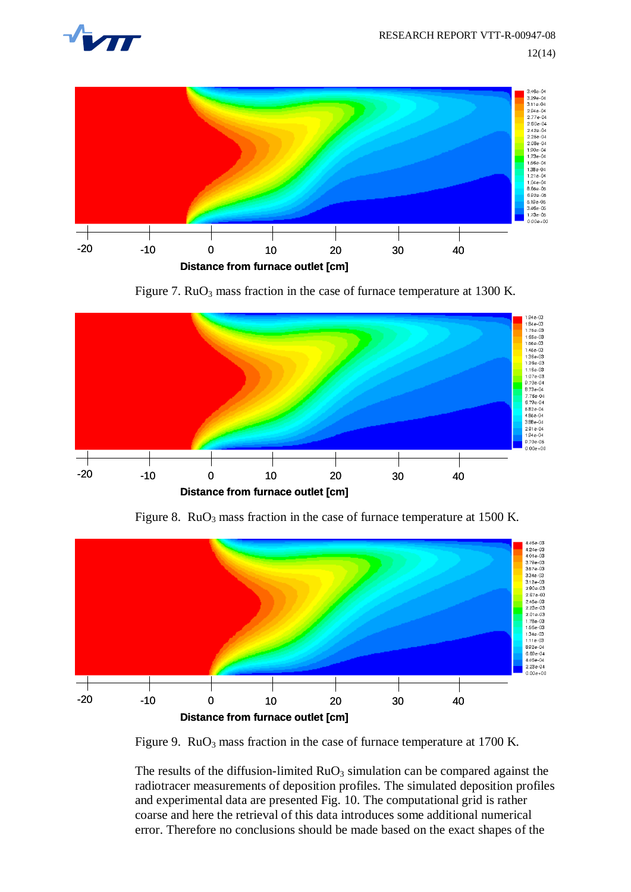



Figure 7.  $RuO<sub>3</sub>$  mass fraction in the case of furnace temperature at 1300 K.



Figure 8.  $RuO<sub>3</sub>$  mass fraction in the case of furnace temperature at 1500 K.



Figure 9.  $RuO<sub>3</sub>$  mass fraction in the case of furnace temperature at 1700 K.

The results of the diffusion-limited  $RuO<sub>3</sub>$  simulation can be compared against the radiotracer measurements of deposition profiles. The simulated deposition profiles and experimental data are presented Fig. 10. The computational grid is rather coarse and here the retrieval of this data introduces some additional numerical error. Therefore no conclusions should be made based on the exact shapes of the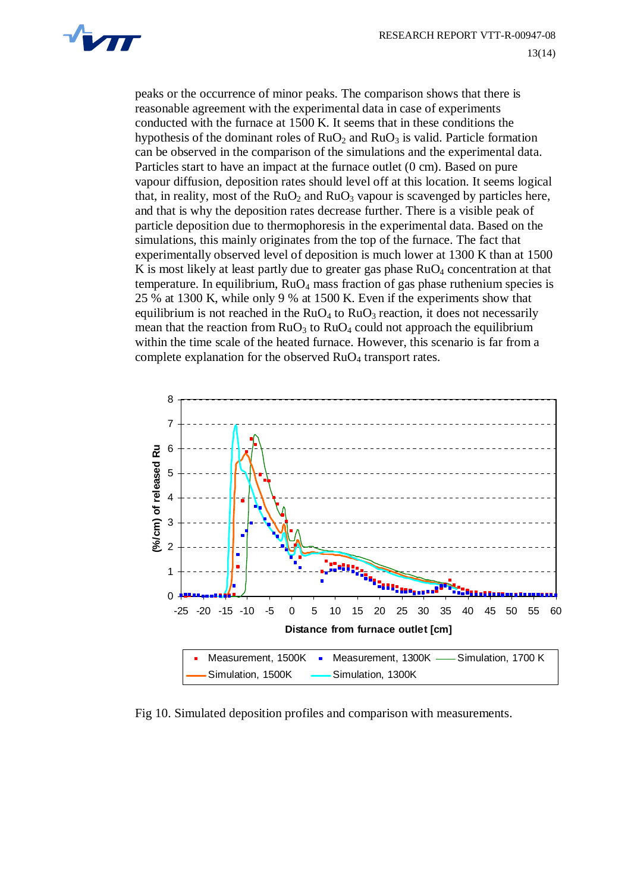

peaks or the occurrence of minor peaks. The comparison shows that there is reasonable agreement with the experimental data in case of experiments conducted with the furnace at 1500 K. It seems that in these conditions the hypothesis of the dominant roles of  $RuO<sub>2</sub>$  and  $RuO<sub>3</sub>$  is valid. Particle formation can be observed in the comparison of the simulations and the experimental data. Particles start to have an impact at the furnace outlet (0 cm). Based on pure vapour diffusion, deposition rates should level off at this location. It seems logical that, in reality, most of the  $RuO<sub>2</sub>$  and  $RuO<sub>3</sub>$  vapour is scavenged by particles here, and that is why the deposition rates decrease further. There is a visible peak of particle deposition due to thermophoresis in the experimental data. Based on the simulations, this mainly originates from the top of the furnace. The fact that experimentally observed level of deposition is much lower at 1300 K than at 1500 K is most likely at least partly due to greater gas phase  $RuO<sub>4</sub>$  concentration at that temperature. In equilibrium,  $RuO<sub>4</sub>$  mass fraction of gas phase ruthenium species is 25 % at 1300 K, while only 9 % at 1500 K. Even if the experiments show that equilibrium is not reached in the  $RuO<sub>4</sub>$  to  $RuO<sub>3</sub>$  reaction, it does not necessarily mean that the reaction from  $RuO<sub>3</sub>$  to  $RuO<sub>4</sub>$  could not approach the equilibrium within the time scale of the heated furnace. However, this scenario is far from a complete explanation for the observed  $RuO<sub>4</sub>$  transport rates.



Fig 10. Simulated deposition profiles and comparison with measurements.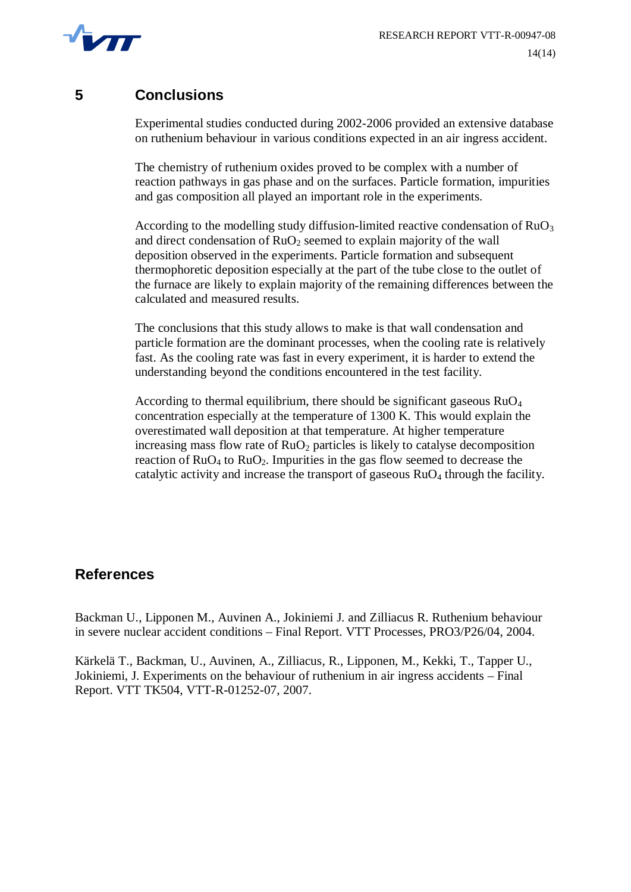

#### **5 Conclusions**

Experimental studies conducted during 2002-2006 provided an extensive database on ruthenium behaviour in various conditions expected in an air ingress accident.

The chemistry of ruthenium oxides proved to be complex with a number of reaction pathways in gas phase and on the surfaces. Particle formation, impurities and gas composition all played an important role in the experiments.

According to the modelling study diffusion-limited reactive condensation of  $RuO<sub>3</sub>$ and direct condensation of  $RuO<sub>2</sub>$  seemed to explain majority of the wall deposition observed in the experiments. Particle formation and subsequent thermophoretic deposition especially at the part of the tube close to the outlet of the furnace are likely to explain majority of the remaining differences between the calculated and measured results.

The conclusions that this study allows to make is that wall condensation and particle formation are the dominant processes, when the cooling rate is relatively fast. As the cooling rate was fast in every experiment, it is harder to extend the understanding beyond the conditions encountered in the test facility.

According to thermal equilibrium, there should be significant gaseous  $RuO<sub>4</sub>$ concentration especially at the temperature of 1300 K. This would explain the overestimated wall deposition at that temperature. At higher temperature increasing mass flow rate of  $RuO<sub>2</sub>$  particles is likely to catalyse decomposition reaction of  $RuO<sub>4</sub>$  to  $RuO<sub>2</sub>$ . Impurities in the gas flow seemed to decrease the catalytic activity and increase the transport of gaseous  $RuO<sub>4</sub>$  through the facility.

#### **References**

Backman U., Lipponen M., Auvinen A., Jokiniemi J. and Zilliacus R. Ruthenium behaviour in severe nuclear accident conditions – Final Report. VTT Processes, PRO3/P26/04, 2004.

Kärkelä T., Backman, U., Auvinen, A., Zilliacus, R., Lipponen, M., Kekki, T., Tapper U., Jokiniemi, J. Experiments on the behaviour of ruthenium in air ingress accidents – Final Report. VTT TK504, VTT-R-01252-07, 2007.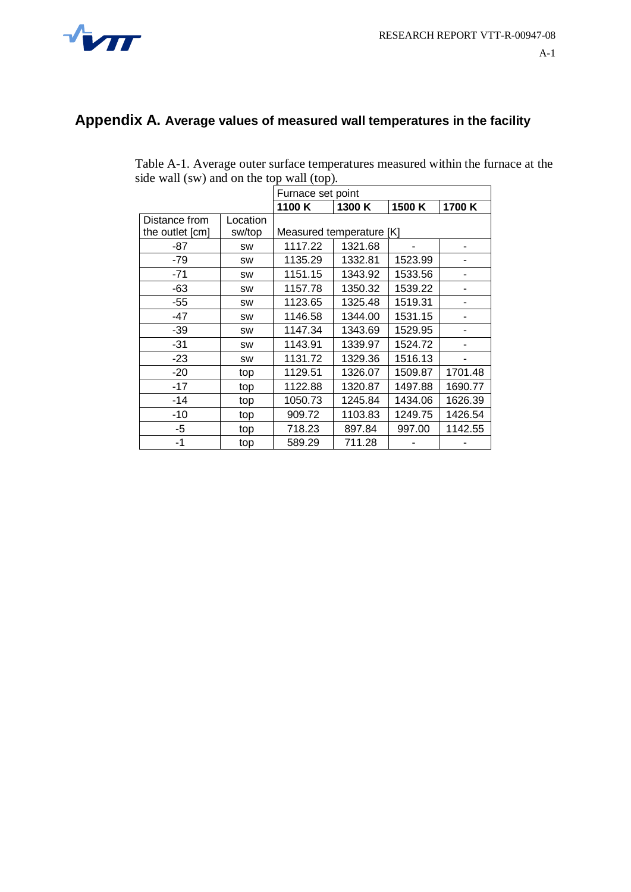

## **Appendix A. Average values of measured wall temperatures in the facility**

| Table A-1. Average outer surface temperatures measured within the furnace at the |
|----------------------------------------------------------------------------------|
| side wall (sw) and on the top wall (top).                                        |

|                 |           | Furnace set point                   |         |         |         |  |  |  |
|-----------------|-----------|-------------------------------------|---------|---------|---------|--|--|--|
|                 |           | 1100K<br>1300 K<br>1500 K<br>1700 K |         |         |         |  |  |  |
| Distance from   | Location  |                                     |         |         |         |  |  |  |
| the outlet [cm] | sw/top    | Measured temperature [K]            |         |         |         |  |  |  |
| -87             | <b>SW</b> | 1117.22                             | 1321.68 |         |         |  |  |  |
| -79             | <b>SW</b> | 1135.29                             | 1332.81 | 1523.99 |         |  |  |  |
| $-71$           | <b>SW</b> | 1151.15                             | 1343.92 | 1533.56 |         |  |  |  |
| $-63$           | <b>SW</b> | 1157.78                             | 1350.32 | 1539.22 |         |  |  |  |
| $-55$           | <b>SW</b> | 1123.65                             | 1325.48 | 1519.31 |         |  |  |  |
| $-47$           | <b>SW</b> | 1146.58                             | 1344.00 | 1531.15 |         |  |  |  |
| -39             | <b>SW</b> | 1147.34                             | 1343.69 | 1529.95 |         |  |  |  |
| $-31$           | <b>SW</b> | 1143.91                             | 1339.97 | 1524.72 |         |  |  |  |
| $-23$           | <b>SW</b> | 1131.72                             | 1329.36 | 1516.13 |         |  |  |  |
| $-20$           | top       | 1129.51                             | 1326.07 | 1509.87 | 1701.48 |  |  |  |
| $-17$           | top       | 1122.88                             | 1320.87 | 1497.88 | 1690.77 |  |  |  |
| -14             | top       | 1050.73                             | 1245.84 | 1434.06 | 1626.39 |  |  |  |
| $-10$           | top       | 909.72                              | 1103.83 | 1249.75 | 1426.54 |  |  |  |
| -5              | top       | 718.23                              | 897.84  | 997.00  | 1142.55 |  |  |  |
| -1              | top       | 589.29                              | 711.28  |         |         |  |  |  |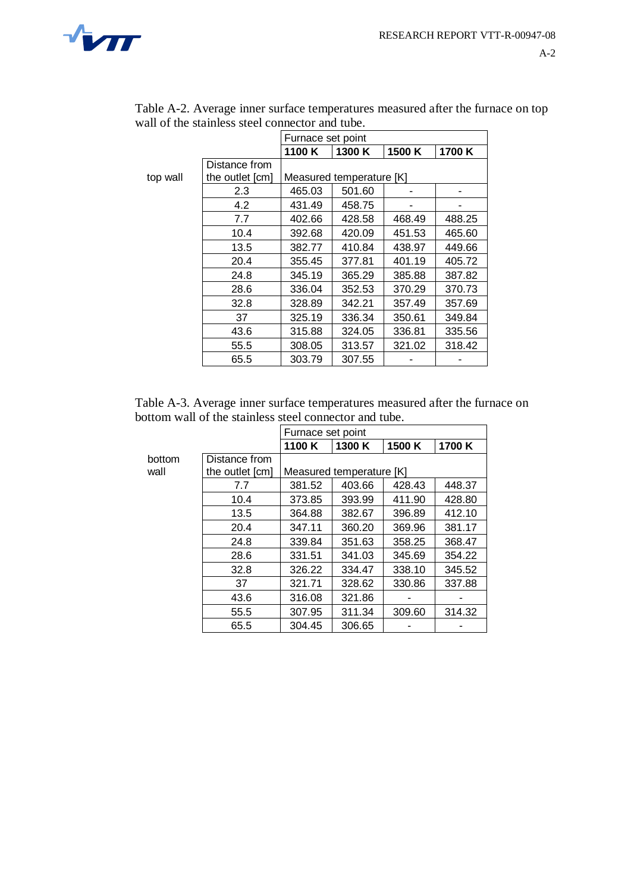

|          |                 | Furnace set point |                          |        |        |  |  |
|----------|-----------------|-------------------|--------------------------|--------|--------|--|--|
|          |                 | 1100K             | 1300 K                   | 1500 K | 1700 K |  |  |
|          | Distance from   |                   |                          |        |        |  |  |
| top wall | the outlet [cm] |                   | Measured temperature [K] |        |        |  |  |
|          | 2.3             | 465.03            | 501.60                   |        |        |  |  |
|          | 4.2             | 431.49            | 458.75                   |        |        |  |  |
|          | 7.7             | 402.66            | 428.58                   | 468.49 | 488.25 |  |  |
|          | 10.4            | 392.68            | 420.09                   | 451.53 | 465.60 |  |  |
|          | 13.5            | 382.77            | 410.84                   | 438.97 | 449.66 |  |  |
|          | 20.4            | 355.45            | 377.81                   | 401.19 | 405.72 |  |  |
|          | 24.8            | 345.19            | 365.29                   | 385.88 | 387.82 |  |  |
|          | 28.6            | 336.04            | 352.53                   | 370.29 | 370.73 |  |  |
|          | 32.8            | 328.89            | 342.21                   | 357.49 | 357.69 |  |  |
|          | 37              | 325.19            | 336.34                   | 350.61 | 349.84 |  |  |
|          | 43.6            | 315.88            | 324.05                   | 336.81 | 335.56 |  |  |
|          | 55.5            | 308.05            | 313.57                   | 321.02 | 318.42 |  |  |
|          | 65.5            | 303.79            | 307.55                   |        |        |  |  |

Table A-2. Average inner surface temperatures measured after the furnace on top wall of the stainless steel connector and tube.

| Table A-3. Average inner surface temperatures measured after the furnace on |
|-----------------------------------------------------------------------------|
| bottom wall of the stainless steel connector and tube.                      |

|        |                 | Furnace set point        |        |        |        |  |
|--------|-----------------|--------------------------|--------|--------|--------|--|
|        |                 | 1100 K                   | 1300 K | 1500 K | 1700 K |  |
| bottom | Distance from   |                          |        |        |        |  |
| wall   | the outlet [cm] | Measured temperature [K] |        |        |        |  |
|        | 7.7             | 381.52                   | 403.66 | 428.43 | 448.37 |  |
|        | 10.4            | 373.85                   | 393.99 | 411.90 | 428.80 |  |
|        | 13.5            | 364.88                   | 382.67 | 396.89 | 412.10 |  |
|        | 20.4            | 347.11                   | 360.20 | 369.96 | 381.17 |  |
|        | 24.8            | 339.84                   | 351.63 | 358.25 | 368.47 |  |
|        | 28.6            | 331.51                   | 341.03 | 345.69 | 354.22 |  |
|        | 32.8            | 326.22                   | 334.47 | 338.10 | 345.52 |  |
|        | 37              | 321.71                   | 328.62 | 330.86 | 337.88 |  |
|        | 43.6            | 316.08                   | 321.86 |        |        |  |
|        | 55.5            | 307.95                   | 311.34 | 309.60 | 314.32 |  |
|        | 65.5            | 304.45                   | 306.65 |        |        |  |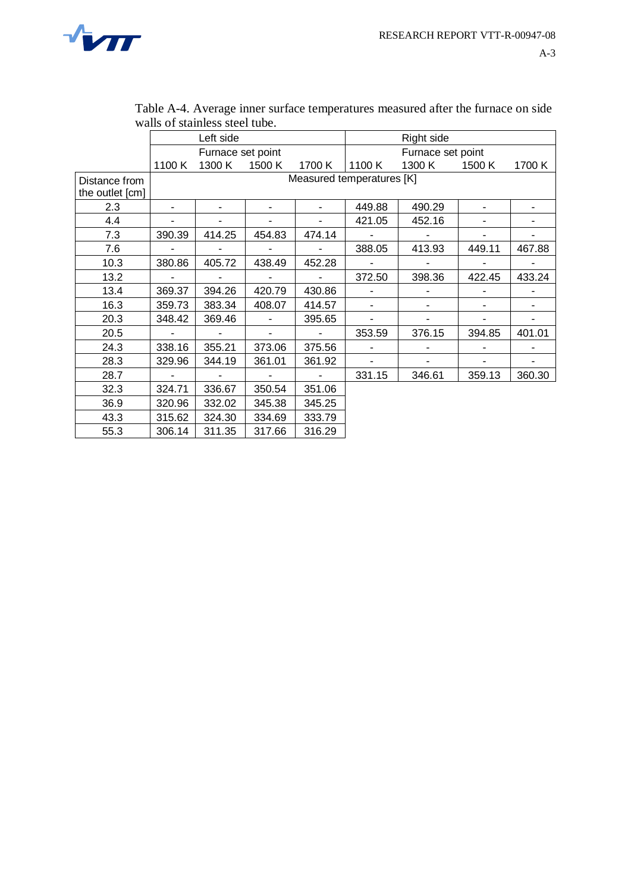

|                 |                   | Left side      |                          |                |                           | Right side        |        |        |
|-----------------|-------------------|----------------|--------------------------|----------------|---------------------------|-------------------|--------|--------|
|                 | Furnace set point |                |                          |                |                           | Furnace set point |        |        |
|                 | 1100K             | 1300 K         | 1500 K                   | 1700 K         | 1100 K                    | 1300 K            | 1500 K | 1700 K |
| Distance from   |                   |                |                          |                | Measured temperatures [K] |                   |        |        |
| the outlet [cm] |                   |                |                          |                |                           |                   |        |        |
| 2.3             |                   | $\blacksquare$ | ۰                        | $\blacksquare$ | 449.88                    | 490.29            |        |        |
| 4.4             |                   |                |                          |                | 421.05                    | 452.16            |        |        |
| 7.3             | 390.39            | 414.25         | 454.83                   | 474.14         | ۰                         |                   |        |        |
| 7.6             |                   |                |                          | $\blacksquare$ | 388.05                    | 413.93            | 449.11 | 467.88 |
| 10.3            | 380.86            | 405.72         | 438.49                   | 452.28         |                           |                   |        |        |
| 13.2            | $\blacksquare$    | $\blacksquare$ | $\overline{\phantom{a}}$ | $\mathbf{r}$   | 372.50                    | 398.36            | 422.45 | 433.24 |
| 13.4            | 369.37            | 394.26         | 420.79                   | 430.86         |                           |                   |        |        |
| 16.3            | 359.73            | 383.34         | 408.07                   | 414.57         | Ξ.                        |                   |        | ٠      |
| 20.3            | 348.42            | 369.46         |                          | 395.65         |                           |                   |        |        |
| 20.5            | $\blacksquare$    | $\blacksquare$ | $\overline{\phantom{a}}$ | $\mathbf{r}$   | 353.59                    | 376.15            | 394.85 | 401.01 |
| 24.3            | 338.16            | 355.21         | 373.06                   | 375.56         |                           |                   |        |        |
| 28.3            | 329.96            | 344.19         | 361.01                   | 361.92         |                           |                   |        |        |
| 28.7            | $\blacksquare$    | $\mathbf{r}$   | $\blacksquare$           | $\mathbf{u}$   | 331.15                    | 346.61            | 359.13 | 360.30 |
| 32.3            | 324.71            | 336.67         | 350.54                   | 351.06         |                           |                   |        |        |
| 36.9            | 320.96            | 332.02         | 345.38                   | 345.25         |                           |                   |        |        |
| 43.3            | 315.62            | 324.30         | 334.69                   | 333.79         |                           |                   |        |        |
| 55.3            | 306.14            | 311.35         | 317.66                   | 316.29         |                           |                   |        |        |

| Table A-4. Average inner surface temperatures measured after the furnace on side |  |
|----------------------------------------------------------------------------------|--|
| walls of stainless steel tube.                                                   |  |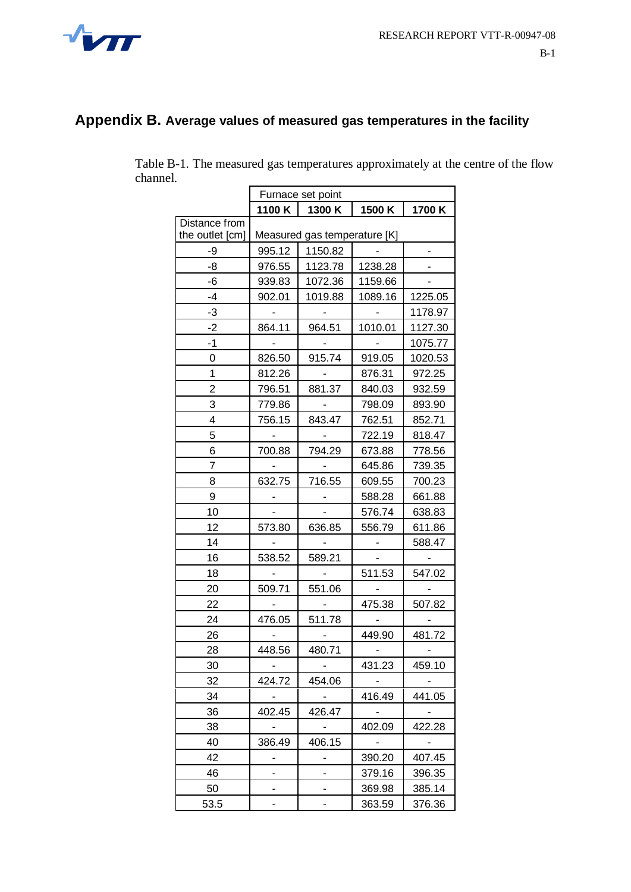

#### **Appendix B. Average values of measured gas temperatures in the facility**

|                 | Furnace set point            |         |                 |         |
|-----------------|------------------------------|---------|-----------------|---------|
|                 | 1100 K                       | 1300 K  | 1500K           | 1700 K  |
| Distance from   |                              |         |                 |         |
| the outlet [cm] | Measured gas temperature [K] |         |                 |         |
| -9              | 995.12                       | 1150.82 |                 |         |
| -8              | 976.55                       | 1123.78 | 1238.28         |         |
| -6              | 939.83                       | 1072.36 | 1159.66         |         |
| -4              | 902.01                       | 1019.88 | 1089.16         | 1225.05 |
| -3              |                              |         |                 | 1178.97 |
| -2              | 864.11                       | 964.51  | 1010.01         | 1127.30 |
| -1              |                              |         |                 | 1075.77 |
| 0               | 826.50                       | 915.74  | 919.05          | 1020.53 |
| 1               | 812.26                       |         | 876.31          | 972.25  |
| 2               | 796.51                       | 881.37  | 840.03          | 932.59  |
| 3               | 779.86                       |         | 798.09          | 893.90  |
| 4               | 756.15                       | 843.47  | 762.51          | 852.71  |
| 5               | $\sim$                       | $\sim$  | 722.19          | 818.47  |
| 6               | 700.88                       | 794.29  | 673.88          | 778.56  |
| 7               |                              |         | 645.86          | 739.35  |
| 8               | 632.75                       | 716.55  | 609.55          | 700.23  |
| 9               |                              |         | 588.28          | 661.88  |
| 10              |                              |         | 576.74          | 638.83  |
| 12              | 573.80                       | 636.85  | 556.79          | 611.86  |
| 14              |                              |         |                 | 588.47  |
| 16              | 538.52                       | 589.21  |                 |         |
| 18              |                              |         | 511.53          | 547.02  |
| 20              | 509.71                       | 551.06  | $\sim$ 10 $\pm$ |         |
| 22              |                              |         | 475.38          | 507.82  |
| 24              | 476.05                       | 511.78  |                 |         |
| 26              |                              |         | 449.90          | 481.72  |
| 28              | 448.56                       | 480.71  |                 |         |
| 30              |                              |         | 431.23          | 459.10  |
| 32              | 424.72                       | 454.06  |                 |         |
| 34              | $\mathbb{Z}^{\mathbb{Z}}$    |         | 416.49          | 441.05  |
| 36              | 402.45                       | 426.47  |                 |         |
| 38              | $\overline{\phantom{0}}$     |         | 402.09          | 422.28  |
| 40              | 386.49                       | 406.15  |                 |         |
| 42              |                              |         | 390.20          | 407.45  |
| 46              |                              | -       | 379.16          | 396.35  |
| 50              |                              |         | 369.98          | 385.14  |
| 53.5            |                              |         | 363.59          | 376.36  |

Table B-1. The measured gas temperatures approximately at the centre of the flow channel.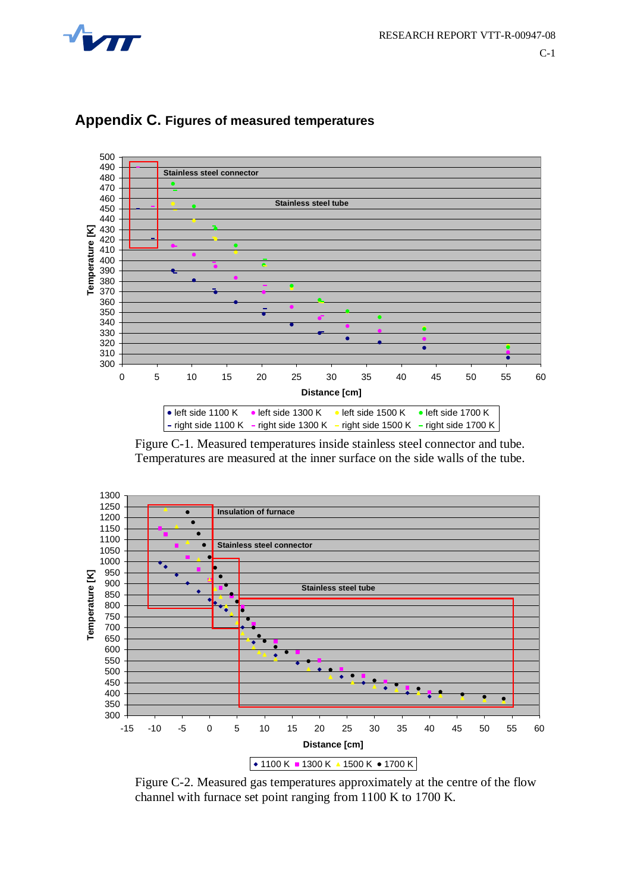



#### **Appendix C. Figures of measured temperatures**

Figure C-1. Measured temperatures inside stainless steel connector and tube. Temperatures are measured at the inner surface on the side walls of the tube.



Figure C-2. Measured gas temperatures approximately at the centre of the flow channel with furnace set point ranging from 1100 K to 1700 K.